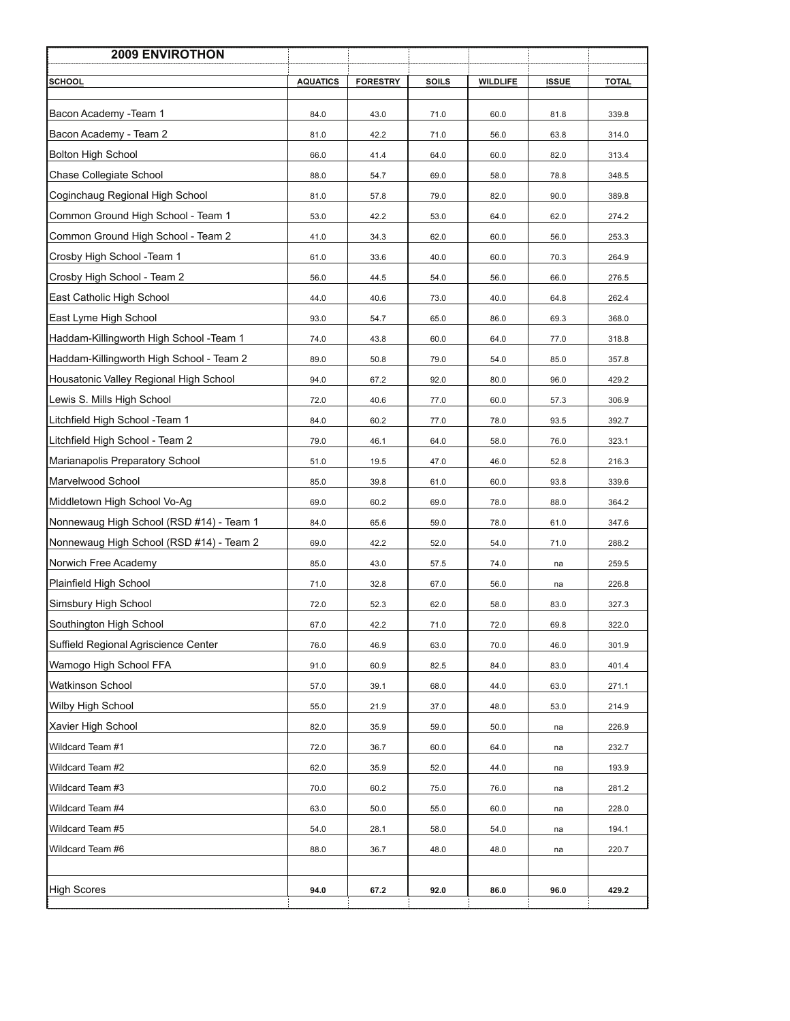| <b>2009 ENVIROTHON</b>                   |                 |                 |              |                 |              |              |
|------------------------------------------|-----------------|-----------------|--------------|-----------------|--------------|--------------|
| <b>SCHOOL</b>                            | <b>AQUATICS</b> | <b>FORESTRY</b> | <b>SOILS</b> | <b>WILDLIFE</b> | <b>ISSUE</b> | <b>TOTAL</b> |
| Bacon Academy - Team 1                   | 84.0            | 43.0            | 71.0         | 60.0            | 81.8         | 339.8        |
| Bacon Academy - Team 2                   | 81.0            | 42.2            | 71.0         | 56.0            | 63.8         | 314.0        |
| <b>Bolton High School</b>                | 66.0            | 41.4            | 64.0         | 60.0            | 82.0         | 313.4        |
| Chase Collegiate School                  | 88.0            | 54.7            | 69.0         | 58.0            | 78.8         | 348.5        |
| Coginchaug Regional High School          | 81.0            | 57.8            | 79.0         | 82.0            | 90.0         | 389.8        |
| Common Ground High School - Team 1       | 53.0            | 42.2            | 53.0         | 64.0            | 62.0         | 274.2        |
| Common Ground High School - Team 2       | 41.0            | 34.3            | 62.0         | 60.0            | 56.0         | 253.3        |
| Crosby High School -Team 1               | 61.0            | 33.6            | 40.0         | 60.0            | 70.3         | 264.9        |
| Crosby High School - Team 2              | 56.0            | 44.5            | 54.0         | 56.0            | 66.0         | 276.5        |
| East Catholic High School                | 44.0            | 40.6            | 73.0         | 40.0            | 64.8         | 262.4        |
| East Lyme High School                    | 93.0            | 54.7            | 65.0         | 86.0            | 69.3         | 368.0        |
| Haddam-Killingworth High School -Team 1  | 74.0            | 43.8            | 60.0         | 64.0            | 77.0         | 318.8        |
| Haddam-Killingworth High School - Team 2 | 89.0            | 50.8            | 79.0         | 54.0            | 85.0         | 357.8        |
| Housatonic Valley Regional High School   | 94.0            | 67.2            | 92.0         | 80.0            | 96.0         | 429.2        |
| Lewis S. Mills High School               | 72.0            | 40.6            | 77.0         | 60.0            | 57.3         | 306.9        |
| Litchfield High School -Team 1           | 84.0            | 60.2            | 77.0         | 78.0            | 93.5         | 392.7        |
| Litchfield High School - Team 2          | 79.0            | 46.1            | 64.0         | 58.0            | 76.0         | 323.1        |
| Marianapolis Preparatory School          | 51.0            | 19.5            | 47.0         | 46.0            | 52.8         | 216.3        |
| Marvelwood School                        | 85.0            | 39.8            | 61.0         | 60.0            | 93.8         | 339.6        |
| Middletown High School Vo-Ag             | 69.0            | 60.2            | 69.0         | 78.0            | 88.0         | 364.2        |
| Nonnewaug High School (RSD #14) - Team 1 | 84.0            | 65.6            | 59.0         | 78.0            | 61.0         | 347.6        |
| Nonnewaug High School (RSD #14) - Team 2 | 69.0            | 42.2            | 52.0         | 54.0            | 71.0         | 288.2        |
| Norwich Free Academy                     | 85.0            | 43.0            | 57.5         | 74.0            | na           | 259.5        |
| Plainfield High School                   | 71.0            | 32.8            | 67.0         | 56.0            | na           | 226.8        |
| Simsbury High School                     | 72.0            | 52.3            | 62.0         | 58.0            | 83.0         | 327.3        |
| Southington High School                  | 67.0            | 42.2            | 71.0         | 72.0            | 69.8         | 322.0        |
| Suffield Regional Agriscience Center     | 76.0            | 46.9            | 63.0         | 70.0            | 46.0         | 301.9        |
| Wamogo High School FFA                   | 91.0            | 60.9            | 82.5         | 84.0            | 83.0         | 401.4        |
| <b>Watkinson School</b>                  | 57.0            | 39.1            | 68.0         | 44.0            | 63.0         | 271.1        |
| <b>Wilby High School</b>                 | 55.0            | 21.9            | 37.0         | 48.0            | 53.0         | 214.9        |
| Xavier High School                       | 82.0            | 35.9            | 59.0         | 50.0            | na           | 226.9        |
| Wildcard Team #1                         | 72.0            | 36.7            | 60.0         | 64.0            | na           | 232.7        |
| Wildcard Team #2                         | 62.0            | 35.9            | 52.0         | 44.0            | na           | 193.9        |
| Wildcard Team #3                         | 70.0            | 60.2            | 75.0         | 76.0            | na           | 281.2        |
| Wildcard Team #4                         | 63.0            | 50.0            | 55.0         | 60.0            | na           | 228.0        |
| Wildcard Team #5                         | 54.0            | 28.1            | 58.0         | 54.0            | na           | 194.1        |
| Wildcard Team #6                         | 88.0            | 36.7            | 48.0         | 48.0            | na           | 220.7        |
|                                          |                 |                 |              |                 |              |              |
| <b>High Scores</b>                       | 94.0            | 67.2            | 92.0         | 86.0            | 96.0         | 429.2        |
|                                          |                 |                 |              |                 |              |              |